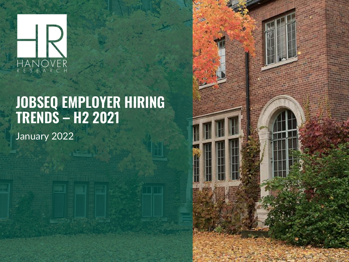

# **JOBSEQ EMPLOYER HIRING TRENDS – H2 2021**

January 2022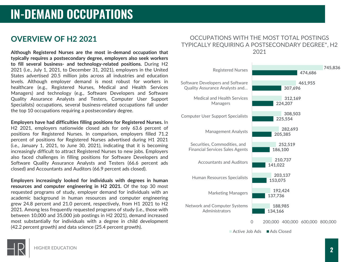## **OVERVIEW OF H2 2021**

**Although Registered Nurses are the most in-demand occupation that typically requires a postsecondary degree, employers also seek workers to fill several business- and technology-related positions.** During H2 2021 (i.e., July 1, 2021, to December 31, 2021), employers in the United States advertised 20.5 million jobs across all industries and education levels. Although employer demand is most robust for workers in healthcare (e.g., Registered Nurses, Medical and Health Services Managers) and technology (e.g., Software Developers and Software Quality Assurance Analysts and Testers, Computer User Support Specialists) occupations, several business-related occupations fall under the top 10 occupations requiring a postsecondary degree.

**Employers have had difficulties filling positions for Registered Nurses.** In H2 2021, employers nationwide closed ads for only 63.6 percent of positions for Registered Nurses. In comparison, employers filled 71.2 percent of positions for Registered Nurses advertised during H1 2021 (i.e., January 1, 2021, to June 30, 2021), indicating that it is becoming increasingly difficult to attract Registered Nurses to new jobs. Employers also faced challenges in filling positions for Software Developers and Software Quality Assurance Analysts and Testers (66.6 percent ads closed) and Accountants and Auditors (66.9 percent ads closed).

**Employers increasingly looked for individuals with degrees in human resources and computer engineering in H2 2021.** Of the top 30 most requested programs of study, employer demand for individuals with an academic background in human resources and computer engineering grew 24.8 percent and 21.0 percent, respectively, from H1 2021 to H2 2021. Among less frequently requested programs of study (i.e., those with between 10,000 and 35,000 job postings in H2 2021), demand increased most substantially for individuals with a degree in child development (42.2 percent growth) and data science (25.4 percent growth).

#### OCCUPATIONS WITH THE MOST TOTAL POSTINGS TYPICALLY REQUIRING A POSTSECONDARY DEGREE\*, H2 2021

| <b>Registered Nurses</b>                                               | 745,836                                     |
|------------------------------------------------------------------------|---------------------------------------------|
|                                                                        | 474.686                                     |
| Software Developers and Software<br>Quality Assurance Analysts and     | 461,955<br>307,696                          |
| Medical and Health Services<br><b>Managers</b>                         | 312,169<br>224.207                          |
| <b>Computer User Support Specialists</b>                               | 308,503<br>225.554                          |
| <b>Management Analysts</b>                                             | 282,693<br>205,385                          |
| Securities, Commodities, and<br><b>Financial Services Sales Agents</b> | 252,519<br>186,100                          |
| <b>Accountants and Auditors</b>                                        | 210.737<br>141,022                          |
| Human Resources Specialists                                            | 203,137<br>153,075                          |
| <b>Marketing Managers</b>                                              | 192,424<br>137,736                          |
| Network and Computer Systems<br>Administrators                         | 188,985<br>134,166                          |
|                                                                        | 200,000 400,000 600,000 800,000<br>$\Omega$ |
| Active Joh Ads Ads Closed                                              |                                             |

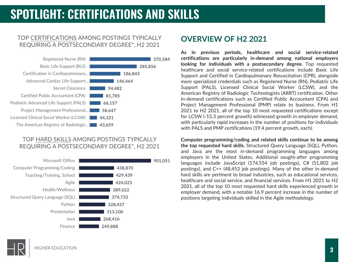## **SPOTLIGHT: CERTIFICATIONS AND SKILLS**

#### TOP CERTIFICATIONS AMONG POSTINGS TYPICALLY REQUIRING A POSTSECONDARY DEGREE\*, H2 2021



#### TOP HARD SKILLS AMONG POSTINGS TYPICALLY REQUIRING A POSTSECONDARY DEGREE\*, H2 2021



### **OVERVIEW OF H2 2021**

**As in previous periods, healthcare and social service-related certifications are particularly in-demand among national employers looking for individuals with a postsecondary degree.** Top requested healthcare and social service-related certifications include Basic Life Support and Certified in Cardiopulmonary Resuscitation (CPR), alongside more specialized credentials such as Registered Nurse (RN), Pediatric Life Support (PALS), Licensed Clinical Social Worker (LCSW), and the American Registry of Radiologic Technologists (ARRT) certification. Other in-demand certifications such as Certified Public Accountant (CPA) and Project Management Professional (PMP) relate to business. From H1 2021 to H2 2021, all of the top 10 most requested certifications except for LCSW (-15.3 percent growth) witnessed growth in employer demand, with particularly rapid increases in the number of positions for individuals with PALS and PMP certifications (19.4 percent growth, each).

**Computer programming/coding and related skills continue to be among the top requested hard skills.** Structured Query Language (SQL), Python, and Java are the most in-demand programming languages among employers in the United States. Additional sought-after programming languages include JavaScript (174,554 job postings), C# (51,802 job postings), and C++ (48,453 job postings). Many of the other in-demand hard skills are pertinent to broad industries, such as educational services, healthcare and social service, and financial services. From H1 2021 to H2 2021, all of the top 10 most requested hard skills experienced growth in employer demand, with a notable 16.9 percent increase in the number of positions targeting individuals skilled in the Agile methodology.

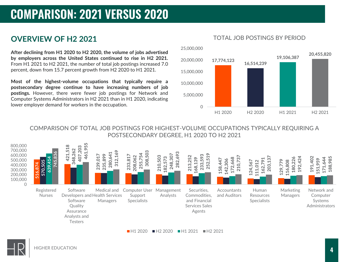## **COMPARISON: 2021 VERSUS 2020**

## **OVERVIEW OF H2 2021**

**After declining from H1 2020 to H2 2020, the volume of jobs advertised by employers across the United States continued to rise in H2 2021.** From H1 2021 to H2 2021, the number of total job postings increased 7.0 percent, down from 15.7 percent growth from H2 2020 to H1 2021.

**Most of the highest-volume occupations that typically require a postsecondary degree continue to have increasing numbers of job postings.** However, there were fewer job postings for Network and Computer Systems Administrators in H2 2021 than in H1 2020, indicating lower employer demand for workers in the occupation.



#### TOTAL JOB POSTINGS BY PERIOD

COMPARISON OF TOTAL JOB POSTINGS FOR HIGHEST-VOLUME OCCUPATIONS TYPICALLY REQUIRING A POSTSECONDARY DEGREE, H1 2020 TO H2 2021



■H1 2020 ■H2 2020 ■H1 2021 ■H2 2021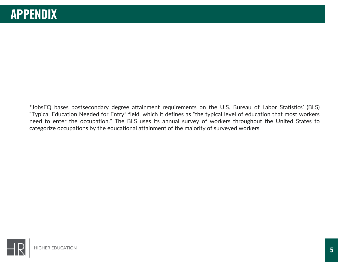\*JobsEQ bases postsecondary degree attainment requirements on the U.S. Bureau of Labor Statistics' (BLS) "Typical Education Needed for Entry" field, which it defines as "the typical level of education that most workers need to enter the occupation." The BLS uses its annual survey of workers throughout the United States to categorize occupations by the educational attainment of the majority of surveyed workers.